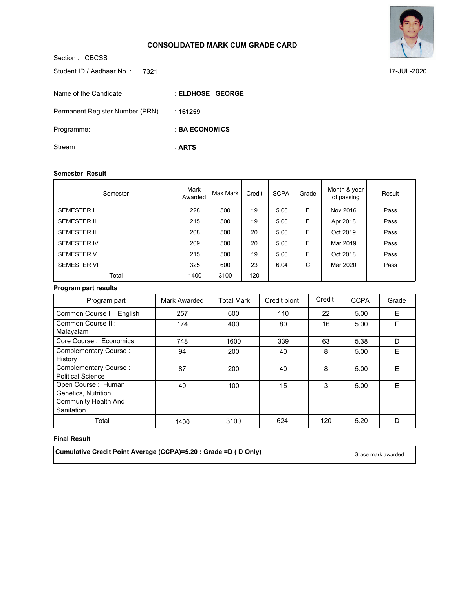## **CONSOLIDATED MARK CUM GRADE CARD**

Section : CBCSS **ELDHOSE GEORGE** : **161259** : **BA ECONOMICS** : **ARTS** : Student ID / Aadhaar No.: 7321 Name of the Candidate Permanent Register Number (PRN) Programme: Stream

### **Semester Result**

| Semester            | Mark<br>Awarded | Max Mark | Credit | <b>SCPA</b> | Grade | Month & year<br>of passing | Result |
|---------------------|-----------------|----------|--------|-------------|-------|----------------------------|--------|
| <b>SEMESTER I</b>   | 228             | 500      | 19     | 5.00        | Е     | Nov 2016                   | Pass   |
| <b>SEMESTER II</b>  | 215             | 500      | 19     | 5.00        | E     | Apr 2018                   | Pass   |
| <b>SEMESTER III</b> | 208             | 500      | 20     | 5.00        | Е     | Oct 2019                   | Pass   |
| <b>SEMESTER IV</b>  | 209             | 500      | 20     | 5.00        | E     | Mar 2019                   | Pass   |
| <b>SEMESTER V</b>   | 215             | 500      | 19     | 5.00        | Е     | Oct 2018                   | Pass   |
| <b>SEMESTER VI</b>  | 325             | 600      | 23     | 6.04        | C     | Mar 2020                   | Pass   |
| Total               | 1400            | 3100     | 120    |             |       |                            |        |

### **Program part results**

| Program part                                                                            | Mark Awarded | <b>Total Mark</b> | Credit piont | Credit | <b>CCPA</b> | Grade |
|-----------------------------------------------------------------------------------------|--------------|-------------------|--------------|--------|-------------|-------|
| Common Course I: English                                                                | 257          | 600               | 110          | 22     | 5.00        | E     |
| Common Course II:<br>Malayalam                                                          | 174          | 400               | 80           | 16     | 5.00        | F     |
| Core Course: Economics                                                                  | 748          | 1600              | 339          | 63     | 5.38        | D     |
| Complementary Course:<br>History                                                        | 94           | 200               | 40           | 8      | 5.00        | F     |
| Complementary Course:<br><b>Political Science</b>                                       | 87           | 200               | 40           | 8      | 5.00        | F     |
| Open Course: Human<br>Genetics, Nutrition,<br><b>Community Health And</b><br>Sanitation | 40           | 100               | 15           | 3      | 5.00        | E     |
| Total                                                                                   | 1400         | 3100              | 624          | 120    | 5.20        | D     |

### **Final Result**

**Cumulative Credit Point Average (CCPA)=5.20 : Grade =D ( D Only)** Grace mark awarded Grace mark awarded



7321 17-JUL-2020